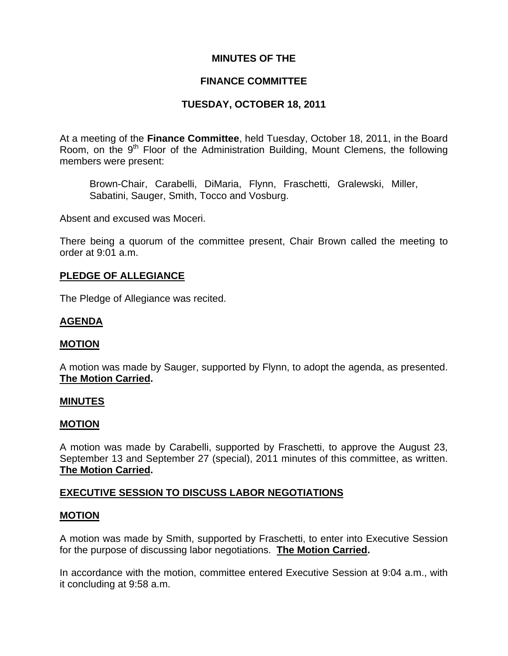# **MINUTES OF THE**

# **FINANCE COMMITTEE**

# **TUESDAY, OCTOBER 18, 2011**

At a meeting of the **Finance Committee**, held Tuesday, October 18, 2011, in the Board Room, on the  $9<sup>th</sup>$  Floor of the Administration Building, Mount Clemens, the following members were present:

Brown-Chair, Carabelli, DiMaria, Flynn, Fraschetti, Gralewski, Miller, Sabatini, Sauger, Smith, Tocco and Vosburg.

Absent and excused was Moceri.

There being a quorum of the committee present, Chair Brown called the meeting to order at 9:01 a.m.

# **PLEDGE OF ALLEGIANCE**

The Pledge of Allegiance was recited.

# **AGENDA**

#### **MOTION**

A motion was made by Sauger, supported by Flynn, to adopt the agenda, as presented. **The Motion Carried.** 

#### **MINUTES**

#### **MOTION**

A motion was made by Carabelli, supported by Fraschetti, to approve the August 23, September 13 and September 27 (special), 2011 minutes of this committee, as written. **The Motion Carried.** 

#### **EXECUTIVE SESSION TO DISCUSS LABOR NEGOTIATIONS**

#### **MOTION**

A motion was made by Smith, supported by Fraschetti, to enter into Executive Session for the purpose of discussing labor negotiations. **The Motion Carried.** 

In accordance with the motion, committee entered Executive Session at 9:04 a.m., with it concluding at 9:58 a.m.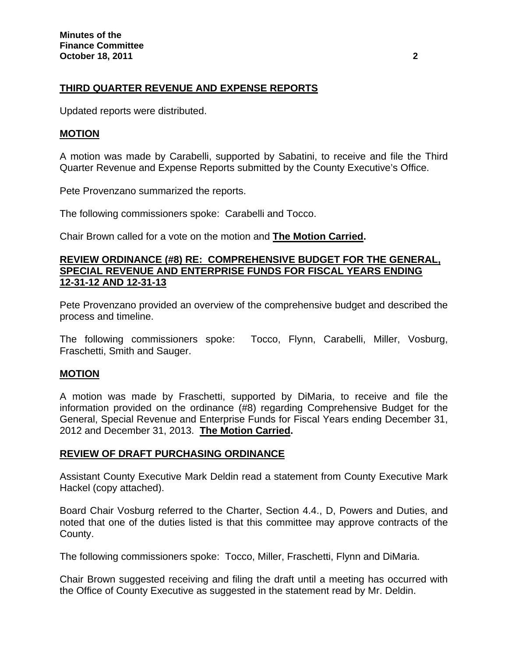# **THIRD QUARTER REVENUE AND EXPENSE REPORTS**

Updated reports were distributed.

### **MOTION**

A motion was made by Carabelli, supported by Sabatini, to receive and file the Third Quarter Revenue and Expense Reports submitted by the County Executive's Office.

Pete Provenzano summarized the reports.

The following commissioners spoke: Carabelli and Tocco.

Chair Brown called for a vote on the motion and **The Motion Carried.** 

#### **REVIEW ORDINANCE (#8) RE: COMPREHENSIVE BUDGET FOR THE GENERAL, SPECIAL REVENUE AND ENTERPRISE FUNDS FOR FISCAL YEARS ENDING 12-31-12 AND 12-31-13**

Pete Provenzano provided an overview of the comprehensive budget and described the process and timeline.

The following commissioners spoke: Tocco, Flynn, Carabelli, Miller, Vosburg, Fraschetti, Smith and Sauger.

#### **MOTION**

A motion was made by Fraschetti, supported by DiMaria, to receive and file the information provided on the ordinance (#8) regarding Comprehensive Budget for the General, Special Revenue and Enterprise Funds for Fiscal Years ending December 31, 2012 and December 31, 2013. **The Motion Carried.** 

#### **REVIEW OF DRAFT PURCHASING ORDINANCE**

Assistant County Executive Mark Deldin read a statement from County Executive Mark Hackel (copy attached).

Board Chair Vosburg referred to the Charter, Section 4.4., D, Powers and Duties, and noted that one of the duties listed is that this committee may approve contracts of the County.

The following commissioners spoke: Tocco, Miller, Fraschetti, Flynn and DiMaria.

Chair Brown suggested receiving and filing the draft until a meeting has occurred with the Office of County Executive as suggested in the statement read by Mr. Deldin.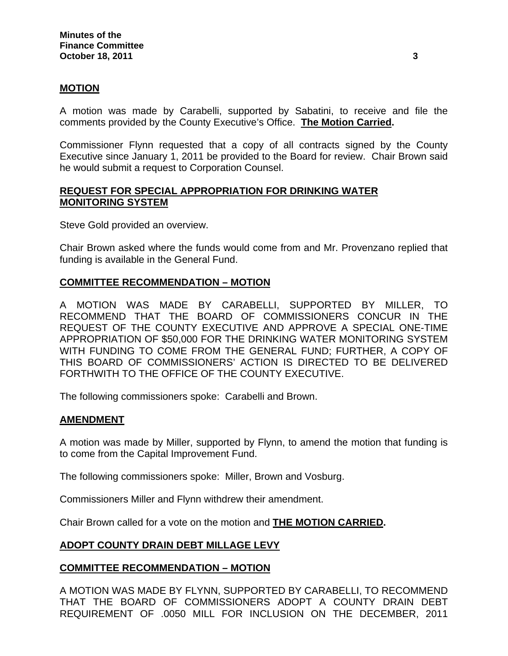## **MOTION**

A motion was made by Carabelli, supported by Sabatini, to receive and file the comments provided by the County Executive's Office. **The Motion Carried.** 

Commissioner Flynn requested that a copy of all contracts signed by the County Executive since January 1, 2011 be provided to the Board for review. Chair Brown said he would submit a request to Corporation Counsel.

### **REQUEST FOR SPECIAL APPROPRIATION FOR DRINKING WATER MONITORING SYSTEM**

Steve Gold provided an overview.

Chair Brown asked where the funds would come from and Mr. Provenzano replied that funding is available in the General Fund.

## **COMMITTEE RECOMMENDATION – MOTION**

A MOTION WAS MADE BY CARABELLI, SUPPORTED BY MILLER, TO RECOMMEND THAT THE BOARD OF COMMISSIONERS CONCUR IN THE REQUEST OF THE COUNTY EXECUTIVE AND APPROVE A SPECIAL ONE-TIME APPROPRIATION OF \$50,000 FOR THE DRINKING WATER MONITORING SYSTEM WITH FUNDING TO COME FROM THE GENERAL FUND; FURTHER, A COPY OF THIS BOARD OF COMMISSIONERS' ACTION IS DIRECTED TO BE DELIVERED FORTHWITH TO THE OFFICE OF THE COUNTY EXECUTIVE.

The following commissioners spoke: Carabelli and Brown.

#### **AMENDMENT**

A motion was made by Miller, supported by Flynn, to amend the motion that funding is to come from the Capital Improvement Fund.

The following commissioners spoke: Miller, Brown and Vosburg.

Commissioners Miller and Flynn withdrew their amendment.

Chair Brown called for a vote on the motion and **THE MOTION CARRIED.** 

# **ADOPT COUNTY DRAIN DEBT MILLAGE LEVY**

#### **COMMITTEE RECOMMENDATION – MOTION**

A MOTION WAS MADE BY FLYNN, SUPPORTED BY CARABELLI, TO RECOMMEND THAT THE BOARD OF COMMISSIONERS ADOPT A COUNTY DRAIN DEBT REQUIREMENT OF .0050 MILL FOR INCLUSION ON THE DECEMBER, 2011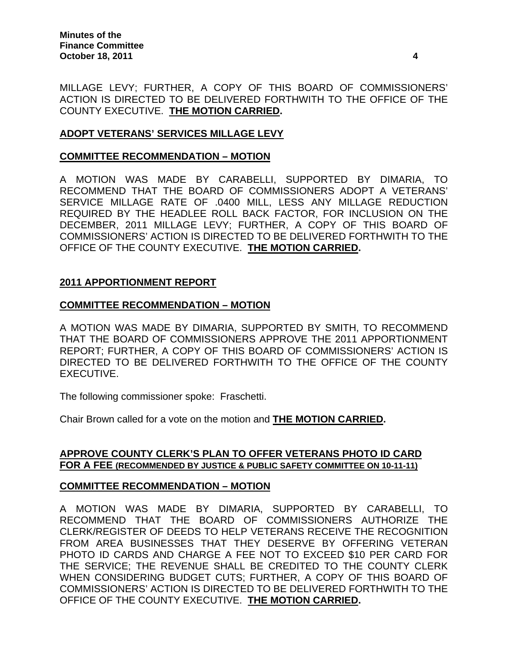MILLAGE LEVY; FURTHER, A COPY OF THIS BOARD OF COMMISSIONERS' ACTION IS DIRECTED TO BE DELIVERED FORTHWITH TO THE OFFICE OF THE COUNTY EXECUTIVE. **THE MOTION CARRIED.** 

# **ADOPT VETERANS' SERVICES MILLAGE LEVY**

# **COMMITTEE RECOMMENDATION – MOTION**

A MOTION WAS MADE BY CARABELLI, SUPPORTED BY DIMARIA, TO RECOMMEND THAT THE BOARD OF COMMISSIONERS ADOPT A VETERANS' SERVICE MILLAGE RATE OF .0400 MILL, LESS ANY MILLAGE REDUCTION REQUIRED BY THE HEADLEE ROLL BACK FACTOR, FOR INCLUSION ON THE DECEMBER, 2011 MILLAGE LEVY; FURTHER, A COPY OF THIS BOARD OF COMMISSIONERS' ACTION IS DIRECTED TO BE DELIVERED FORTHWITH TO THE OFFICE OF THE COUNTY EXECUTIVE. **THE MOTION CARRIED.** 

# **2011 APPORTIONMENT REPORT**

# **COMMITTEE RECOMMENDATION – MOTION**

A MOTION WAS MADE BY DIMARIA, SUPPORTED BY SMITH, TO RECOMMEND THAT THE BOARD OF COMMISSIONERS APPROVE THE 2011 APPORTIONMENT REPORT; FURTHER, A COPY OF THIS BOARD OF COMMISSIONERS' ACTION IS DIRECTED TO BE DELIVERED FORTHWITH TO THE OFFICE OF THE COUNTY EXECUTIVE.

The following commissioner spoke: Fraschetti.

Chair Brown called for a vote on the motion and **THE MOTION CARRIED.** 

## **APPROVE COUNTY CLERK'S PLAN TO OFFER VETERANS PHOTO ID CARD FOR A FEE (RECOMMENDED BY JUSTICE & PUBLIC SAFETY COMMITTEE ON 10-11-11)**

# **COMMITTEE RECOMMENDATION – MOTION**

A MOTION WAS MADE BY DIMARIA, SUPPORTED BY CARABELLI, TO RECOMMEND THAT THE BOARD OF COMMISSIONERS AUTHORIZE THE CLERK/REGISTER OF DEEDS TO HELP VETERANS RECEIVE THE RECOGNITION FROM AREA BUSINESSES THAT THEY DESERVE BY OFFERING VETERAN PHOTO ID CARDS AND CHARGE A FEE NOT TO EXCEED \$10 PER CARD FOR THE SERVICE; THE REVENUE SHALL BE CREDITED TO THE COUNTY CLERK WHEN CONSIDERING BUDGET CUTS; FURTHER, A COPY OF THIS BOARD OF COMMISSIONERS' ACTION IS DIRECTED TO BE DELIVERED FORTHWITH TO THE OFFICE OF THE COUNTY EXECUTIVE. **THE MOTION CARRIED.**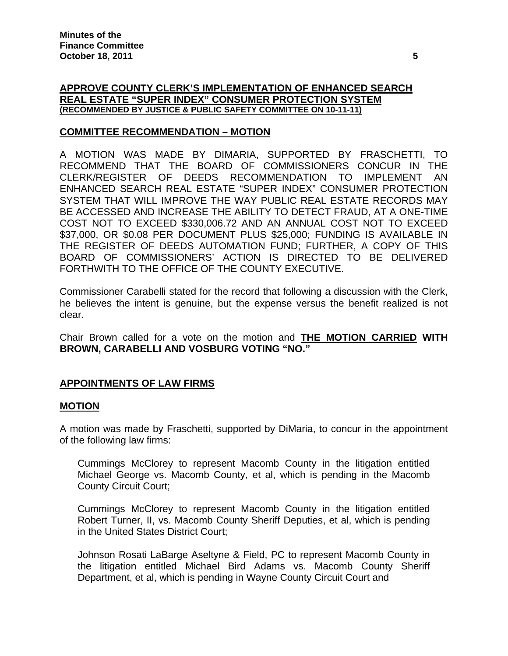### **APPROVE COUNTY CLERK'S IMPLEMENTATION OF ENHANCED SEARCH REAL ESTATE "SUPER INDEX" CONSUMER PROTECTION SYSTEM (RECOMMENDED BY JUSTICE & PUBLIC SAFETY COMMITTEE ON 10-11-11)**

## **COMMITTEE RECOMMENDATION – MOTION**

A MOTION WAS MADE BY DIMARIA, SUPPORTED BY FRASCHETTI, TO RECOMMEND THAT THE BOARD OF COMMISSIONERS CONCUR IN THE CLERK/REGISTER OF DEEDS RECOMMENDATION TO IMPLEMENT AN ENHANCED SEARCH REAL ESTATE "SUPER INDEX" CONSUMER PROTECTION SYSTEM THAT WILL IMPROVE THE WAY PUBLIC REAL ESTATE RECORDS MAY BE ACCESSED AND INCREASE THE ABILITY TO DETECT FRAUD, AT A ONE-TIME COST NOT TO EXCEED \$330,006.72 AND AN ANNUAL COST NOT TO EXCEED \$37,000, OR \$0.08 PER DOCUMENT PLUS \$25,000; FUNDING IS AVAILABLE IN THE REGISTER OF DEEDS AUTOMATION FUND; FURTHER, A COPY OF THIS BOARD OF COMMISSIONERS' ACTION IS DIRECTED TO BE DELIVERED FORTHWITH TO THE OFFICE OF THE COUNTY EXECUTIVE.

Commissioner Carabelli stated for the record that following a discussion with the Clerk, he believes the intent is genuine, but the expense versus the benefit realized is not clear.

Chair Brown called for a vote on the motion and **THE MOTION CARRIED WITH BROWN, CARABELLI AND VOSBURG VOTING "NO."**

#### **APPOINTMENTS OF LAW FIRMS**

#### **MOTION**

A motion was made by Fraschetti, supported by DiMaria, to concur in the appointment of the following law firms:

Cummings McClorey to represent Macomb County in the litigation entitled Michael George vs. Macomb County, et al, which is pending in the Macomb County Circuit Court;

Cummings McClorey to represent Macomb County in the litigation entitled Robert Turner, II, vs. Macomb County Sheriff Deputies, et al, which is pending in the United States District Court;

Johnson Rosati LaBarge Aseltyne & Field, PC to represent Macomb County in the litigation entitled Michael Bird Adams vs. Macomb County Sheriff Department, et al, which is pending in Wayne County Circuit Court and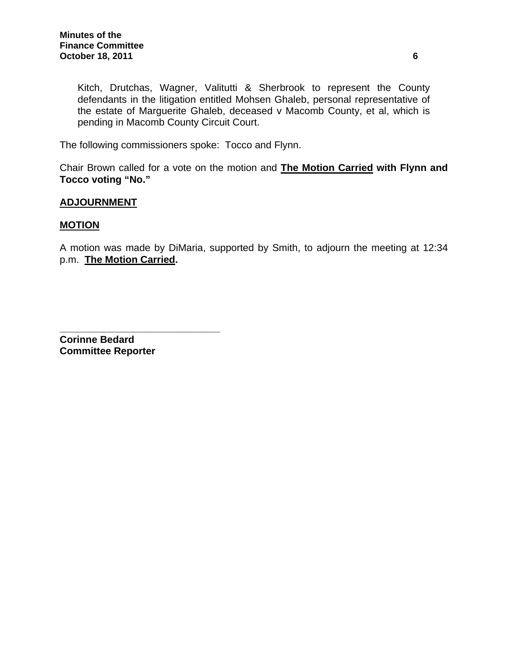Kitch, Drutchas, Wagner, Valitutti & Sherbrook to represent the County defendants in the litigation entitled Mohsen Ghaleb, personal representative of the estate of Marguerite Ghaleb, deceased v Macomb County, et al, which is pending in Macomb County Circuit Court.

The following commissioners spoke: Tocco and Flynn.

Chair Brown called for a vote on the motion and **The Motion Carried with Flynn and Tocco voting "No."** 

#### **ADJOURNMENT**

#### **MOTION**

A motion was made by DiMaria, supported by Smith, to adjourn the meeting at 12:34 p.m. **The Motion Carried.** 

**\_\_\_\_\_\_\_\_\_\_\_\_\_\_\_\_\_\_\_\_\_\_\_\_\_\_\_\_\_ Corinne Bedard Committee Reporter**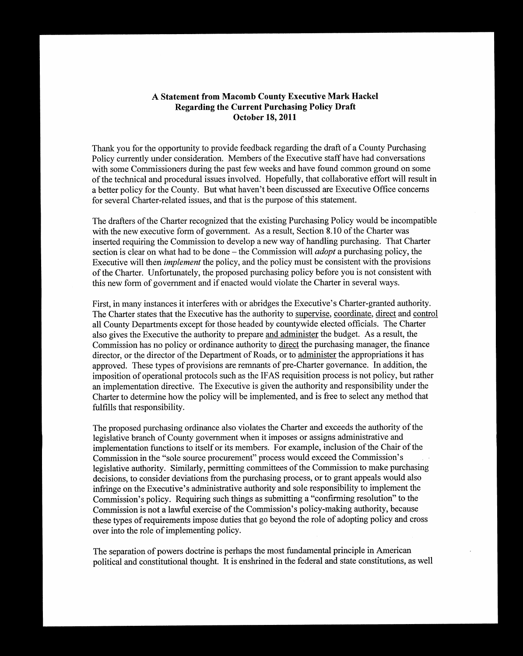### A Statement from Macomb County Executive Mark Hackel **Regarding the Current Purchasing Policy Draft October 18, 2011**

Thank you for the opportunity to provide feedback regarding the draft of a County Purchasing Policy currently under consideration. Members of the Executive staff have had conversations with some Commissioners during the past few weeks and have found common ground on some of the technical and procedural issues involved. Hopefully, that collaborative effort will result in a better policy for the County. But what haven't been discussed are Executive Office concerns for several Charter-related issues, and that is the purpose of this statement.

The drafters of the Charter recognized that the existing Purchasing Policy would be incompatible with the new executive form of government. As a result, Section 8.10 of the Charter was inserted requiring the Commission to develop a new way of handling purchasing. That Charter section is clear on what had to be done – the Commission will *adopt* a purchasing policy, the Executive will then *implement* the policy, and the policy must be consistent with the provisions of the Charter. Unfortunately, the proposed purchasing policy before you is not consistent with this new form of government and if enacted would violate the Charter in several ways.

First, in many instances it interferes with or abridges the Executive's Charter-granted authority. The Charter states that the Executive has the authority to supervise, coordinate, direct and control all County Departments except for those headed by countywide elected officials. The Charter also gives the Executive the authority to prepare and administer the budget. As a result, the Commission has no policy or ordinance authority to direct the purchasing manager, the finance director, or the director of the Department of Roads, or to administer the appropriations it has approved. These types of provisions are remnants of pre-Charter governance. In addition, the imposition of operational protocols such as the IFAS requisition process is not policy, but rather an implementation directive. The Executive is given the authority and responsibility under the Charter to determine how the policy will be implemented, and is free to select any method that fulfills that responsibility.

The proposed purchasing ordinance also violates the Charter and exceeds the authority of the legislative branch of County government when it imposes or assigns administrative and implementation functions to itself or its members. For example, inclusion of the Chair of the Commission in the "sole source procurement" process would exceed the Commission's legislative authority. Similarly, permitting committees of the Commission to make purchasing decisions, to consider deviations from the purchasing process, or to grant appeals would also infringe on the Executive's administrative authority and sole responsibility to implement the Commission's policy. Requiring such things as submitting a "confirming resolution" to the Commission is not a lawful exercise of the Commission's policy-making authority, because these types of requirements impose duties that go beyond the role of adopting policy and cross over into the role of implementing policy.

The separation of powers doctrine is perhaps the most fundamental principle in American political and constitutional thought. It is enshrined in the federal and state constitutions, as well